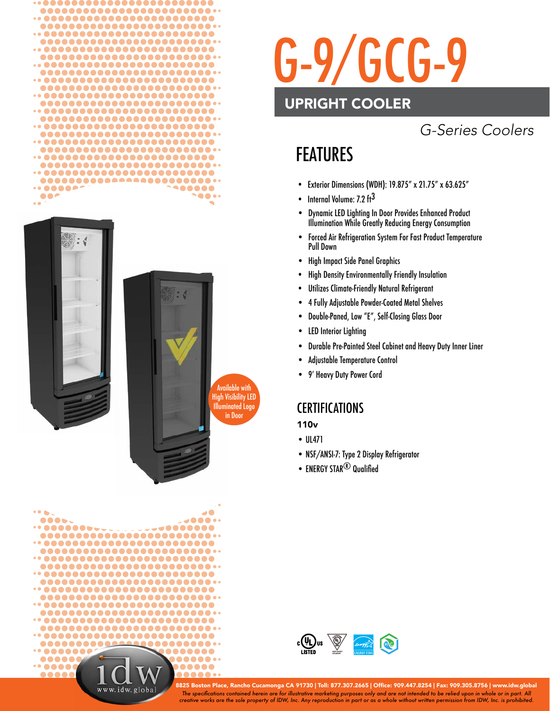







# G-9/GCG-9

#### UPRIGHT COOLER

#### *G-Series Coolers*

### FEATURES

- Exterior Dimensions (WDH): 19.875" x 21.75" x 63.625"
- Internal Volume: 7.2 ft<sup>3</sup>
- Dynamic LED Lighting In Door Provides Enhanced Product Illumination While Greatly Reducing Energy Consumption
- Forced Air Refrigeration System For Fast Product Temperature Pull Down
- High Impact Side Panel Graphics
- High Density Environmentally Friendly Insulation
- Utilizes Climate-Friendly Natural Refrigerant
- 4 Fully Adjustable Powder-Coated Metal Shelves
- Double-Paned, Low "E", Self-Closing Glass Door
- **LED Interior Lighting**
- Durable Pre-Painted Steel Cabinet and Heavy Duty Inner Liner
- Adjustable Temperature Control
- 9' Heavy Duty Power Cord

#### **CERTIFICATIONS**

110v

- UL471
- NSF/ANSI-7: Type 2 Display Refrigerator
- ENERGY STAR $<sup>®</sup>$  Qualified</sup>



*The specifi cations contained herein are for illustrative marketing purposes only and are not intended to be relied upon in whole or in part. All creative works are the sole property of IDW, Inc. Any reproduction in part or as a whole without written permission from IDW, Inc. is prohibited.* 8825 Boston Place, Rancho Cucamonga CA 91730 | Toll: 877.307.2665 | Office: 909.447.8254 | Fax: 909.305.8756 | www.idw.global